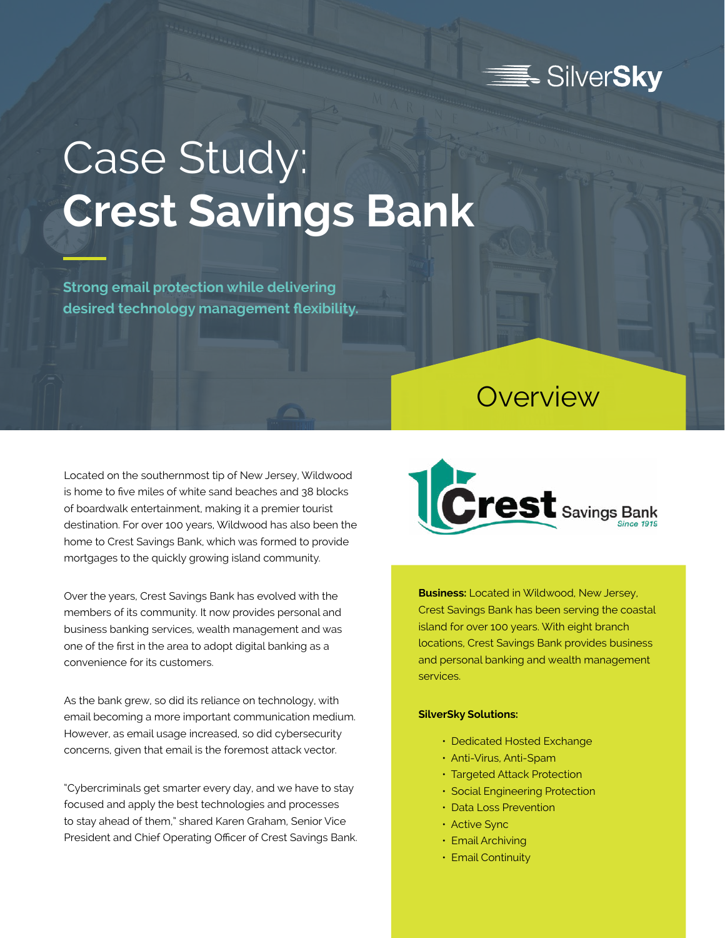

## Case Study: **Crest Savings Bank**

**Strong email protection while delivering desired technology management flexibility.**

## **Overview**

Located on the southernmost tip of New Jersey, Wildwood is home to five miles of white sand beaches and 38 blocks of boardwalk entertainment, making it a premier tourist destination. For over 100 years, Wildwood has also been the home to Crest Savings Bank, which was formed to provide mortgages to the quickly growing island community.

Over the years, Crest Savings Bank has evolved with the members of its community. It now provides personal and business banking services, wealth management and was one of the first in the area to adopt digital banking as a convenience for its customers.

As the bank grew, so did its reliance on technology, with email becoming a more important communication medium. However, as email usage increased, so did cybersecurity concerns, given that email is the foremost attack vector.

"Cybercriminals get smarter every day, and we have to stay focused and apply the best technologies and processes to stay ahead of them," shared Karen Graham, Senior Vice President and Chief Operating Officer of Crest Savings Bank.



**Business:** Located in Wildwood, New Jersey, Crest Savings Bank has been serving the coastal island for over 100 years. With eight branch locations, Crest Savings Bank provides business and personal banking and wealth management services.

## **SilverSky Solutions:**

- Dedicated Hosted Exchange
- Anti-Virus, Anti-Spam
- Targeted Attack Protection
- Social Engineering Protection
- Data Loss Prevention
- Active Sync
- Email Archiving
- Email Continuity